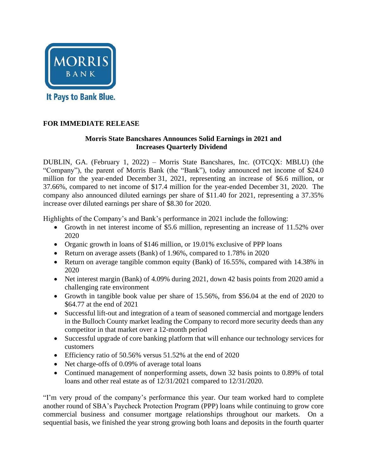

#### **FOR IMMEDIATE RELEASE**

#### **Morris State Bancshares Announces Solid Earnings in 2021 and Increases Quarterly Dividend**

DUBLIN, GA. (February 1, 2022) – Morris State Bancshares, Inc. (OTCQX: MBLU) (the "Company"), the parent of Morris Bank (the "Bank"), today announced net income of \$24.0 million for the year-ended December 31, 2021, representing an increase of \$6.6 million, or 37.66%, compared to net income of \$17.4 million for the year-ended December 31, 2020. The company also announced diluted earnings per share of \$11.40 for 2021, representing a 37.35% increase over diluted earnings per share of \$8.30 for 2020.

Highlights of the Company's and Bank's performance in 2021 include the following:

- Growth in net interest income of \$5.6 million, representing an increase of 11.52% over 2020
- Organic growth in loans of \$146 million, or 19.01% exclusive of PPP loans
- Return on average assets (Bank) of 1.96%, compared to 1.78% in 2020
- Return on average tangible common equity (Bank) of 16.55%, compared with 14.38% in 2020
- Net interest margin (Bank) of 4.09% during 2021, down 42 basis points from 2020 amid a challenging rate environment
- Growth in tangible book value per share of 15.56%, from \$56.04 at the end of 2020 to \$64.77 at the end of 2021
- Successful lift-out and integration of a team of seasoned commercial and mortgage lenders in the Bulloch County market leading the Company to record more security deeds than any competitor in that market over a 12-month period
- Successful upgrade of core banking platform that will enhance our technology services for customers
- Efficiency ratio of 50.56% versus 51.52% at the end of 2020
- Net charge-offs of 0.09% of average total loans
- Continued management of nonperforming assets, down 32 basis points to 0.89% of total loans and other real estate as of 12/31/2021 compared to 12/31/2020.

"I'm very proud of the company's performance this year. Our team worked hard to complete another round of SBA's Paycheck Protection Program (PPP) loans while continuing to grow core commercial business and consumer mortgage relationships throughout our markets. On a sequential basis, we finished the year strong growing both loans and deposits in the fourth quarter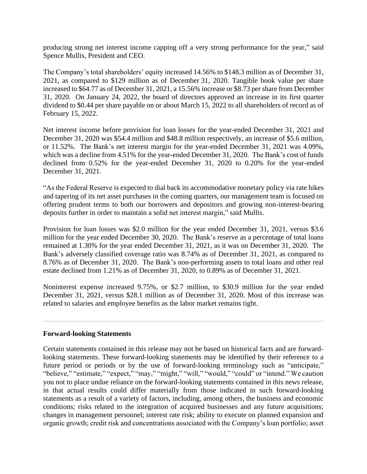producing strong net interest income capping off a very strong performance for the year," said Spence Mullis, President and CEO.

The Company's total shareholders' equity increased 14.56% to \$148.3 million as of December 31, 2021, as compared to \$129 million as of December 31, 2020. Tangible book value per share increased to \$64.77 as of December 31, 2021, a 15.56% increase or \$8.73 per share from December 31, 2020. On January 24, 2022, the board of directors approved an increase in its first quarter dividend to \$0.44 per share payable on or about March 15, 2022 to all shareholders of record as of February 15, 2022.

Net interest income before provision for loan losses for the year-ended December 31, 2021 and December 31, 2020 was \$54.4 million and \$48.8 million respectively, an increase of \$5.6 million, or 11.52%. The Bank's net interest margin for the year-ended December 31, 2021 was 4.09%, which was a decline from 4.51% for the year-ended December 31, 2020. The Bank's cost of funds declined from 0.52% for the year-ended December 31, 2020 to 0.20% for the year-ended December 31, 2021.

"As the Federal Reserve is expected to dial back its accommodative monetary policy via rate hikes and tapering of its net asset purchases in the coming quarters, our management team is focused on offering prudent terms to both our borrowers and depositors and growing non-interest-bearing deposits further in order to maintain a solid net interest margin," said Mullis.

Provision for loan losses was \$2.0 million for the year ended December 31, 2021, versus \$3.6 million for the year ended December 30, 2020. The Bank's reserve as a percentage of total loans remained at 1.30% for the year ended December 31, 2021, as it was on December 31, 2020. The Bank's adversely classified coverage ratio was 8.74% as of December 31, 2021, as compared to 8.76% as of December 31, 2020. The Bank's non-performing assets to total loans and other real estate declined from 1.21% as of December 31, 2020, to 0.89% as of December 31, 2021.

Noninterest expense increased 9.75%, or \$2.7 million, to \$30.9 million for the year ended December 31, 2021, versus \$28.1 million as of December 31, 2020. Most of this increase was related to salaries and employee benefits as the labor market remains tight.

#### **Forward-looking Statements**

Certain statements contained in this release may not be based on historical facts and are forwardlooking statements. These forward-looking statements may be identified by their reference to a future period or periods or by the use of forward-looking terminology such as "anticipate," "believe," "estimate," "expect," "may," "might," "will," "would," "could" or "intend." We caution you not to place undue reliance on the forward-looking statements contained in this news release, in that actual results could differ materially from those indicated in such forward-looking statements as a result of a variety of factors, including, among others, the business and economic conditions; risks related to the integration of acquired businesses and any future acquisitions; changes in management personnel; interest rate risk; ability to execute on planned expansion and organic growth; credit risk and concentrations associated with the Company's loan portfolio; asset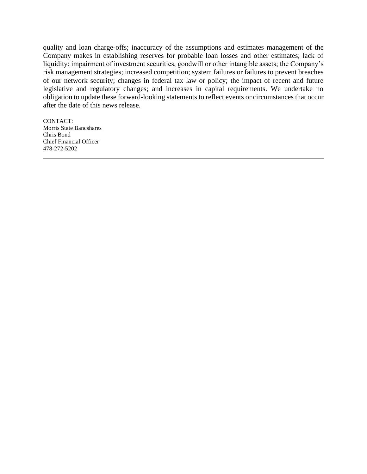quality and loan charge-offs; inaccuracy of the assumptions and estimates management of the Company makes in establishing reserves for probable loan losses and other estimates; lack of liquidity; impairment of investment securities, goodwill or other intangible assets; the Company's risk management strategies; increased competition; system failures or failures to prevent breaches of our network security; changes in federal tax law or policy; the impact of recent and future legislative and regulatory changes; and increases in capital requirements. We undertake no obligation to update these forward-looking statements to reflect events or circumstances that occur after the date of this news release.

CONTACT: Morris State Bancshares Chris Bond Chief Financial Officer 478-272-5202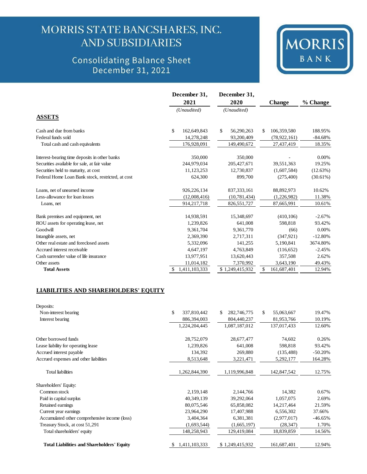## MORRIS STATE BANCSHARES, INC. **AND SUBSIDIARIES**

### **Consolidating Balance Sheet** December 31, 2021



|                                                   | December 31,                  | December 31,     |                  | % Change    |
|---------------------------------------------------|-------------------------------|------------------|------------------|-------------|
|                                                   | 2021                          | 2020             | <b>Change</b>    |             |
|                                                   | (Unaudited)                   | (Unaudited)      |                  |             |
| <b>ASSETS</b>                                     |                               |                  |                  |             |
| Cash and due from banks                           | $\mathbb{S}$<br>162,649,843   | \$<br>56,290,263 | 106,359,580<br>S | 188.95%     |
| Federal funds sold                                | 14,278,248                    | 93,200,409       | (78, 922, 161)   | $-84.68%$   |
| Total cash and cash equivalents                   | 176,928,091                   | 149,490,672      | 27,437,419       | 18.35%      |
| Interest-bearing time deposits in other banks     | 350,000                       | 350,000          |                  | $0.00\%$    |
| Securities available for sale, at fair value      | 244,979,034                   | 205, 427, 671    | 39,551,363       | 19.25%      |
| Securities held to maturity, at cost              | 11,123,253                    | 12,730,837       | (1,607,584)      | (12.63%)    |
| Federal Home Loan Bank stock, restricted, at cost | 624,300                       | 899,700          | (275, 400)       | $(30.61\%)$ |
| Loans, net of unearned income                     | 926,226,134                   | 837, 333, 161    | 88,892,973       | 10.62%      |
| Less-allowance for loan losses                    | (12,008,416)                  | (10, 781, 434)   | (1,226,982)      | 11.38%      |
| Loans, net                                        | 914,217,718                   | 826,551,727      | 87,665,991       | 10.61%      |
| Bank premises and equipment, net                  | 14,938,591                    | 15,348,697       | (410, 106)       | $-2.67%$    |
| ROU assets for operating lease, net               | 1,239,826                     | 641,008          | 598,818          | 93.42%      |
| Goodwill                                          | 9,361,704                     | 9,361,770        | (66)             | $0.00\%$    |
| Intangible assets, net                            | 2,369,390                     | 2,717,311        | (347, 921)       | $-12.80%$   |
| Other real estate and foreclosed assets           | 5,332,096                     | 141,255          | 5,190,841        | 3674.80%    |
| Accrued interest receivable                       | 4,647,197                     | 4,763,849        | (116,652)        | $-2.45%$    |
| Cash surrender value of life insurance            | 13,977,951                    | 13,620,443       | 357,508          | 2.62%       |
| Other assets                                      | 11,014,182                    | 7,370,992        | 3,643,190        | 49.43%      |
| <b>Total Assets</b>                               | 1,411,103,333<br><sup>S</sup> | \$1,249,415,932  | S<br>161,687,401 | 12.94%      |

#### **LIABILITIES AND SHAREHOLDERS' EQUITY**

| Deposits:                                         |                              |                    |                   |           |
|---------------------------------------------------|------------------------------|--------------------|-------------------|-----------|
| Non-interest bearing                              | $\mathcal{S}$<br>337,810,442 | 282,746,775<br>\$. | \$.<br>55,063,667 | 19.47%    |
| Interest bearing                                  | 886,394,003                  | 804,440,237        | 81,953,766        | 10.19%    |
|                                                   | 1,224,204,445                | 1,087,187,012      | 137,017,433       | 12.60%    |
| Other borrowed funds                              | 28,752,079                   | 28,677,477         | 74,602            | 0.26%     |
| Lease liability for operating lease               | 1,239,826                    | 641,008            | 598,818           | 93.42%    |
| Accrued interest payable                          | 134,392                      | 269,880            | (135, 488)        | $-50.20%$ |
| Accrued expenses and other liabilities            | 8,513,648                    | 3,221,471          | 5,292,177         | 164.28%   |
| <b>Total liabilities</b>                          | 1,262,844,390                | 1,119,996,848      | 142,847,542       | 12.75%    |
| Shareholders' Equity:                             |                              |                    |                   |           |
| Common stock                                      | 2,159,148                    | 2,144,766          | 14,382            | 0.67%     |
| Paid in capital surplus                           | 40,349,139                   | 39,292,064         | 1,057,075         | 2.69%     |
| Retained earnings                                 | 80,075,546                   | 65,858,082         | 14,217,464        | 21.59%    |
| Current year earnings                             | 23,964,290                   | 17,407,988         | 6,556,302         | 37.66%    |
| Accumulated other comprehensive income (loss)     | 3,404,364                    | 6,381,381          | (2,977,017)       | $-46.65%$ |
| Treasury Stock, at cost 51,291                    | (1,693,544)                  | (1,665,197)        | (28, 347)         | 1.70%     |
| Total shareholders' equity                        | 148,258,943                  | 129,419,084        | 18,839,859        | 14.56%    |
| <b>Total Liabilities and Shareholders' Equity</b> | 1,411,103,333<br>S.          | \$1,249,415,932    | 161,687,401       | 12.94%    |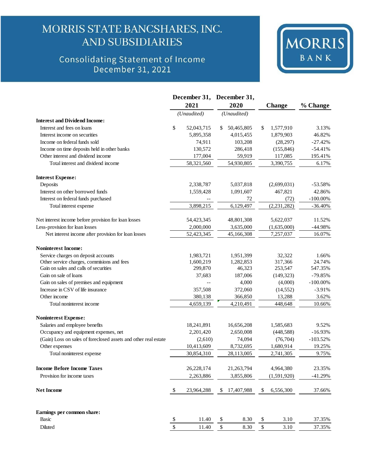## MORRIS STATE BANCSHARES, INC. **AND SUBSIDIARIES**

# Consolidating Statement of Income<br>December 31, 2021



|                                                                 |                           |             | December 31, December 31, |             |    |               |             |
|-----------------------------------------------------------------|---------------------------|-------------|---------------------------|-------------|----|---------------|-------------|
|                                                                 |                           | 2021        |                           | 2020        |    | Change        | % Change    |
|                                                                 |                           | (Unaudited) |                           | (Unaudited) |    |               |             |
| <b>Interest and Dividend Income:</b>                            |                           |             |                           |             |    |               |             |
| Interest and fees on loans                                      | \$                        | 52,043,715  | \$                        | 50,465,805  | \$ | 1,577,910     | 3.13%       |
| Interest income on securities                                   |                           | 5,895,358   |                           | 4,015,455   |    | 1,879,903     | 46.82%      |
| Income on federal funds sold                                    |                           | 74,911      |                           | 103,208     |    | (28, 297)     | $-27.42%$   |
| Income on time deposits held in other banks                     |                           | 130,572     |                           | 286,418     |    | (155, 846)    | $-54.41%$   |
| Other interest and dividend income                              |                           | 177,004     |                           | 59,919      |    | 117,085       | 195.41%     |
| Total interest and dividend income                              |                           | 58,321,560  |                           | 54,930,805  |    | 3,390,755     | 6.17%       |
| <b>Interest Expense:</b>                                        |                           |             |                           |             |    |               |             |
| Deposits                                                        |                           | 2,338,787   |                           | 5,037,818   |    | (2,699,031)   | $-53.58%$   |
| Interest on other borrowed funds                                |                           | 1,559,428   |                           | 1,091,607   |    | 467,821       | 42.86%      |
| Interest on federal funds purchased                             |                           |             |                           | 72          |    | (72)          | $-100.00\%$ |
| Total interest expense                                          |                           | 3,898,215   |                           | 6,129,497   |    | (2, 231, 282) | $-36.40%$   |
| Net interest income before provision for loan losses            |                           | 54,423,345  |                           | 48,801,308  |    | 5,622,037     | 11.52%      |
| Less-provision for loan losses                                  |                           | 2,000,000   |                           | 3,635,000   |    | (1,635,000)   | $-44.98%$   |
| Net interest income after provision for loan losses             |                           | 52,423,345  |                           | 45,166,308  |    | 7,257,037     | 16.07%      |
| <b>Noninterest Income:</b>                                      |                           |             |                           |             |    |               |             |
| Service charges on deposit accounts                             |                           | 1,983,721   |                           | 1,951,399   |    | 32,322        | 1.66%       |
| Other service charges, commisions and fees                      |                           | 1,600,219   |                           | 1,282,853   |    | 317,366       | 24.74%      |
| Gain on sales and calls of securities                           |                           | 299,870     |                           | 46,323      |    | 253,547       | 547.35%     |
| Gain on sale of loans                                           |                           | 37,683      |                           | 187,006     |    | (149, 323)    | $-79.85%$   |
| Gain on sales of premises and equipment                         |                           |             |                           | 4,000       |    | (4,000)       | $-100.00\%$ |
| Increase in CSV of life insurance                               |                           | 357,508     |                           | 372,060     |    | (14, 552)     | $-3.91%$    |
| Other income                                                    |                           | 380,138     |                           | 366,850     |    | 13,288        | 3.62%       |
| Total noninterest income                                        |                           | 4,659,139   |                           | 4,210,491   |    | 448,648       | 10.66%      |
| <b>Noninterest Expense:</b>                                     |                           |             |                           |             |    |               |             |
| Salaries and employee benefits                                  |                           | 18,241,891  |                           | 16,656,208  |    | 1,585,683     | 9.52%       |
| Occupancy and equipment expenses, net                           |                           | 2,201,420   |                           | 2,650,008   |    | (448,588)     | $-16.93%$   |
| (Gain) Loss on sales of foreclosed assets and other real estate |                           | (2,610)     |                           | 74,094      |    | (76, 704)     | $-103.52%$  |
| Other expenses                                                  |                           | 10,413,609  |                           | 8,732,695   |    | 1,680,914     | 19.25%      |
| Total noninterest expense                                       |                           | 30,854,310  |                           | 28,113,005  |    | 2,741,305     | 9.75%       |
| <b>Income Before Income Taxes</b>                               |                           | 26,228,174  |                           | 21,263,794  |    | 4,964,380     | 23.35%      |
| Provision for income taxes                                      |                           | 2,263,886   |                           | 3,855,806   |    | (1,591,920)   | $-41.29%$   |
| <b>Net Income</b>                                               | $\boldsymbol{\mathsf{S}}$ | 23,964,288  |                           | 17,407,988  | S  | 6,556,300     | 37.66%      |
| Earnings per common share:                                      |                           |             |                           |             |    |               |             |
| <b>Basic</b>                                                    | \$                        | 11.40       | \$                        | 8.30        | \$ | 3.10          | 37.35%      |
|                                                                 |                           |             |                           |             |    |               |             |
| Diluted                                                         | \$                        | 11.40       | \$                        | 8.30        | \$ | 3.10          | 37.35%      |